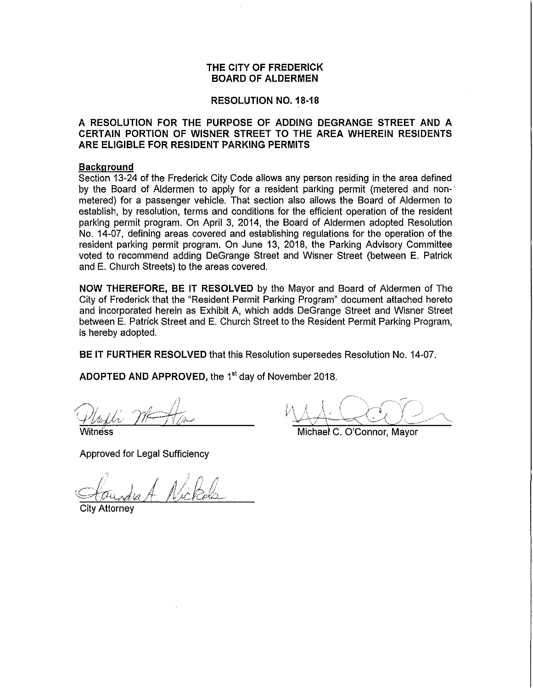# **THE CITY OF FREDERICK BOARD OF ALDERMEN**

## **RESOLUTION NO. 18-18**

# **A RESOLUTION FOR THE PURPOSE OF ADDING DEGRANGE STREET AND A CERTAIN PORTION OF WISNER STREET TO THE AREA WHEREIN RESIDENTS ARE ELIGIBLE FOR RESIDENT PARKING PERMITS**

### **Background**

Section 13-24 of the Frederick City Code allows any person residing in the area defined by the Board of Aldermen to apply for a resident parking permit (metered and non-' metered) for a passenger vehicle. That section also allows the Board of Aldermen to establish, by resolution, terms and conditions for the efficient operation of the resident parking permit program. On April 3, 2014, the Board of Aldermen adopted Resolution No. 14-07, defining areas covered and establishing regulations for the operation of the resident parking permit program. On June 13, 2018, the Parking Advisory Committee voted to recommend adding DeGrange Street and Wisner Street (between E. Patrick and E. Church Streets) to the areas covered.

**NOW THEREFORE, BE IT RESOLVED** by the Mayor and Board of Aldermen of The City of Frederick that the "Resident Permit Parking Program" document attached hereto and incorporated herein as Exhibit A, which adds DeGrange Street and Wisner Street between E. Patrick Street and E. Church Street to the Resident Permit Parking Program, is hereby adopted.

**BE IT FURTHER RESOLVED** that this Resolution supersedes Resolution No. 14-07.

ADOPTED AND APPROVED, the 1<sup>st</sup> day of November 2018.

 $\hat{q}^{\dagger}$  $m\rightarrow m$ 

Witness

Approved for Legal Sufficiency

Michael C. O'Connor, Mayor

., Standa A. Nickels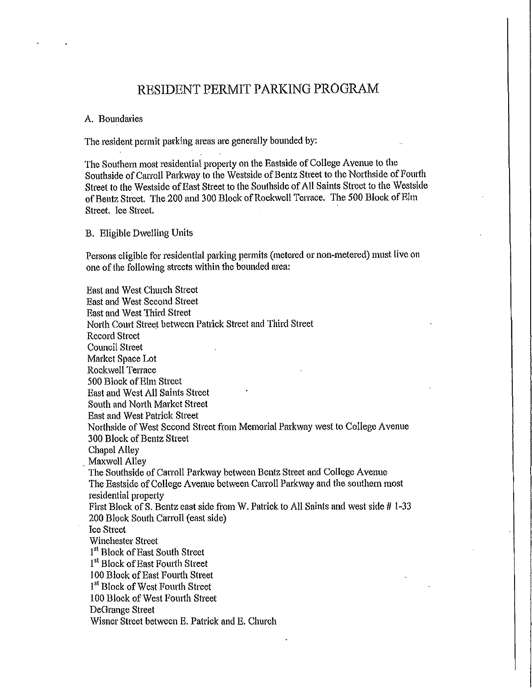# RESIDENT PERMIT PARKING PROGRAM

## A. Boundaries

The resident permit parking areas are generally bounded by:

The Southern most residential property on the Eastside of College Avenue to the Southside of Carroll Parkway to the Westside of Bentz Street to the Northside of Fourth Street to the Westside of East Street to the Southside of All Saints Street to the Westside of Bentz Street. The 200 and 300 Block of Rockwell Terrace. The 500 Block ofEhn Street. Ice Street.

B. Eligible Dwelling Units

Persons eligible for residential parking permits (metered or non.metered) must live on one of the following streets within the bounded area:

East and West Church Street East and West Second Street East and West Third Street North Court Street between Patrick Street and Third Street Record Street Council Street Market Space Lot Rockwell Terrace 500 Block of Elm Street East and West All Saints Street South and North Market Street East and West Patrick Street Northside of West Second Street from Memorial Parkway west to College Avenue 300 Block of Bentz Street Chapel Alley Maxwell Alley The Southside of Carroll Parkway between Bentz Street and College Avenue The Eastside of College Avenue between Carroll Parkway and the southern most residential property First Block of S. Bentz east side from W. Patrick to All Saints and west side # 1·33 200 Block South Carroll (east side) Ice Street Winchester Street 1<sup>st</sup> Block of East South Street <sup>1st</sup> Block of East Fourth Street 100 Block of East Fourth Street <sup>1st</sup> Block of West Fourth Street 100 Block of West Fourth Street DeGrange Street Wisner Street between E. Patrick and E. Church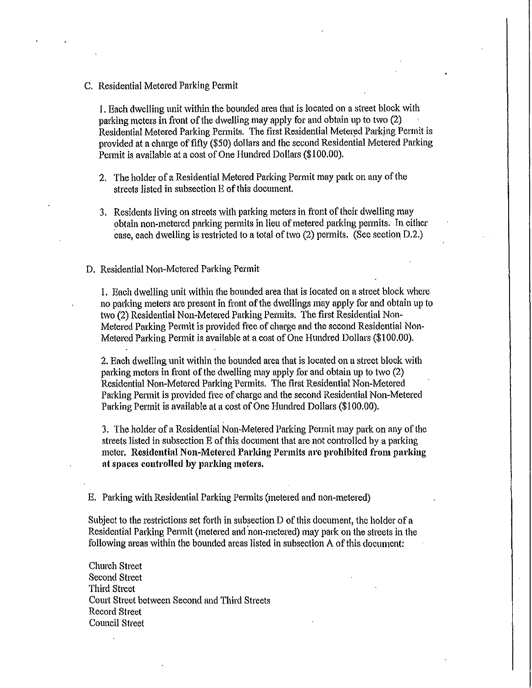C. Residential Metered Parking Permit

I. Each dwelling unit within the bounded area that is located on a street block with parking meters in front of the dwelling may apply for and obtain up to two (2) Residential Metered Parking Permits. The first Residential Metered Parking Permit is provided at a charge of fifty (\$50) dollars and the second Residential Metered Parking Permit is available at a cost of One Hundred Dollars (\$100.00).

- 2. The holder of a Residential Metered Parking Permit may park on any of the streets listed in subsection E of this document.
- 3. Residents living on streets with parking meters in front of their dwelling may obtain non-metered parking permits in lieu of metered parking permits. In either case, each dwelling is restricted to a total of two  $(2)$  permits. (See section D.2.)

### D. Residential Non-Metered Parking Permit

1. Each dwelling unit within the bounded area that is located on a street block where no parking meters are present in front of the dwellings may apply for and obtain up to two (2) Residential Non-Metered Parking Permits. The first Residential Non-Metered Parking Permit is provided free of charge and the second Residential Non-Metered Parking Permit is available at a cost of One Hundred Dollars (\$100.00).

2. Each dwelling unit within the bounded area that is located on a street block with parking meters in front of the dwelling may apply for and obtain up to two (2) Residential Non-Metered Parking Permits. The first Residential Non-Metered Parking Permit is provided free of charge and the second Residential Non-Metered Parking Permit is available at a cost of One Hundred Dollars (\$100.00).

3. The holder of a Residential Non-Metered Parking Permit may park on any of the streets listed in subsection E of this document that are not controlled by a parking meter. Residential Non-Metered Parking Permits are prohibited from parking at spaces controlled by parking meters.

E. Parking with Residential Parking Permits (metered and non-metered)

Subject to the restrictions set forth in subsection  $D$  of this document, the holder of a Residential Parking Permit (metered and non-metered) may park on the streets in the following areas within the bounded areas listed in subsection A of this document:

Church Street Second Street Third Street Comt Street between Second and Third Streets Record Street Council Street